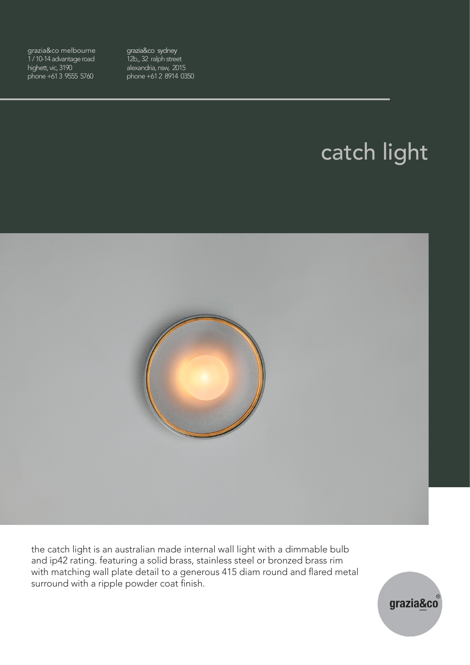grazia&co melbourne 1 / 10-14 advantage road highett, vic, 3190 phone +61 3 9555 5760

grazia&co sydney 12b, 32 ralph street alexandria, nsw, 2015 phone +61 2 8914 0350

# catch light



the catch light is an australian made internal wall light with a dimmable bulb and ip42 rating. featuring a solid brass, stainless steel or bronzed brass rim with matching wall plate detail to a generous 415 diam round and flared metal surround with a ripple powder coat finish.

grazia&co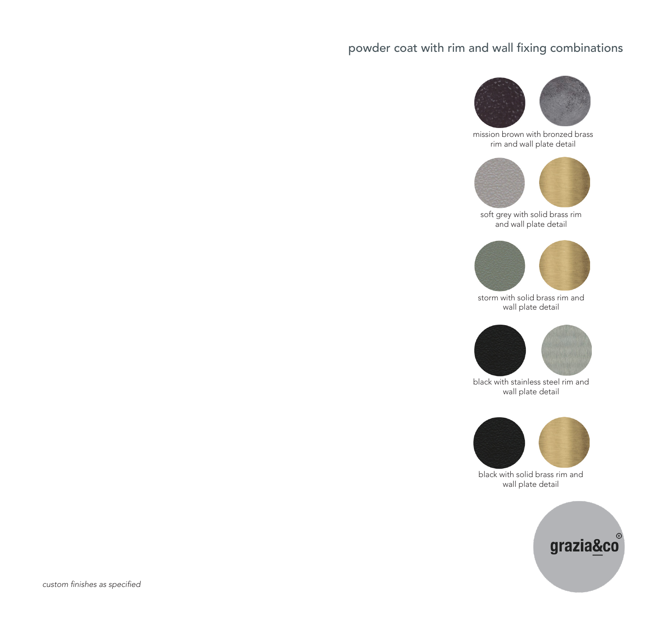#### powder coat with rim and wall fixing combinations



mission brown with bronzed brass rim and wall plate detail



soft grey with solid brass rim and wall plate detail



storm with solid brass rim and wall plate detail



black with stainless steel rim and wall plate detail



black with solid brass rim and wall plate detail

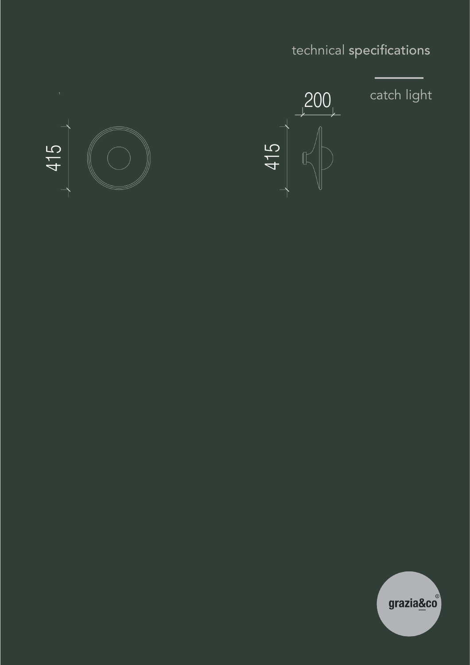# technical specifications



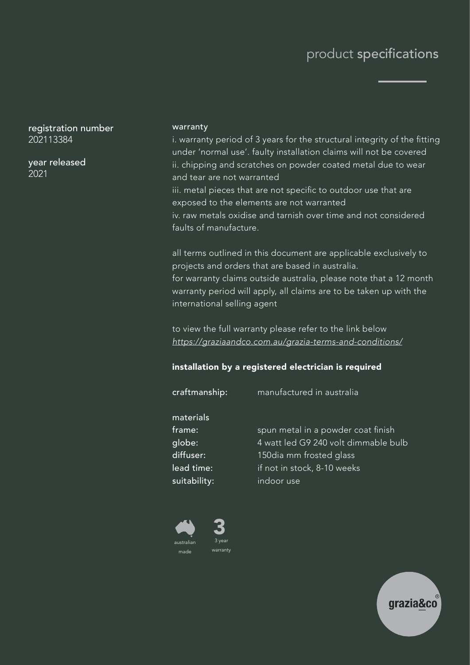### product specifications

registration number 202113384

year released 2021

#### warranty

i. warranty period of 3 years for the structural integrity of the fitting under 'normal use'. faulty installation claims will not be covered ii. chipping and scratches on powder coated metal due to wear and tear are not warranted

iii. metal pieces that are not specific to outdoor use that are exposed to the elements are not warranted

iv. raw metals oxidise and tarnish over time and not considered faults of manufacture.

all terms outlined in this document are applicable exclusively to projects and orders that are based in australia. for warranty claims outside australia, please note that a 12 month warranty period will apply, all claims are to be taken up with the international selling agent

to view the full warranty please refer to the link below https://graziaandco.com.au/grazia-terms-and-conditions/

#### installation by a registered electrician is required

| craftmanship:                                                            | manufactured in australia                                                                                                                          |
|--------------------------------------------------------------------------|----------------------------------------------------------------------------------------------------------------------------------------------------|
| materials<br>frame:<br>globe:<br>diffuser:<br>lead time:<br>suitability: | spun metal in a powder coat finish<br>4 watt led G9 240 volt dimmable bulb<br>150dia mm frosted glass<br>if not in stock, 8-10 weeks<br>indoor use |
|                                                                          |                                                                                                                                                    |